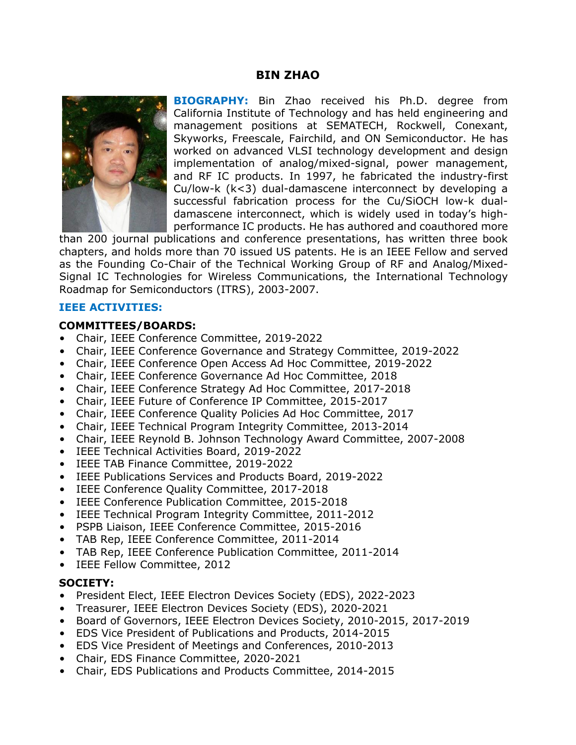### **BIN ZHAO**



**BIOGRAPHY:** Bin Zhao received his Ph.D. degree from California Institute of Technology and has held engineering and management positions at SEMATECH, Rockwell, Conexant, Skyworks, Freescale, Fairchild, and ON Semiconductor. He has worked on advanced VLSI technology development and design implementation of analog/mixed-signal, power management, and RF IC products. In 1997, he fabricated the industry-first Cu/low-k (k<3) dual-damascene interconnect by developing a successful fabrication process for the Cu/SiOCH low-k dualdamascene interconnect, which is widely used in today's highperformance IC products. He has authored and coauthored more

than 200 journal publications and conference presentations, has written three book chapters, and holds more than 70 issued US patents. He is an IEEE Fellow and served as the Founding Co-Chair of the Technical Working Group of RF and Analog/Mixed-Signal IC Technologies for Wireless Communications, the International Technology Roadmap for Semiconductors (ITRS), 2003-2007.

#### **IEEE ACTIVITIES:**

#### **COMMITTEES/BOARDS:**

- Chair, IEEE Conference Committee, 2019-2022
- Chair, IEEE Conference Governance and Strategy Committee, 2019-2022
- Chair, IEEE Conference Open Access Ad Hoc Committee, 2019-2022
- Chair, IEEE Conference Governance Ad Hoc Committee, 2018
- Chair, IEEE Conference Strategy Ad Hoc Committee, 2017-2018
- Chair, IEEE Future of Conference IP Committee, 2015-2017
- Chair, IEEE Conference Quality Policies Ad Hoc Committee, 2017
- Chair, IEEE Technical Program Integrity Committee, 2013-2014
- Chair, IEEE Reynold B. Johnson Technology Award Committee, 2007-2008
- IEEE Technical Activities Board, 2019-2022
- IEEE TAB Finance Committee, 2019-2022
- IEEE Publications Services and Products Board, 2019-2022
- IEEE Conference Quality Committee, 2017-2018
- IEEE Conference Publication Committee, 2015-2018
- IEEE Technical Program Integrity Committee, 2011-2012
- PSPB Liaison, IEEE Conference Committee, 2015-2016
- TAB Rep, IEEE Conference Committee, 2011-2014
- TAB Rep, IEEE Conference Publication Committee, 2011-2014
- IEEE Fellow Committee, 2012

#### **SOCIETY:**

- President Elect, IEEE Electron Devices Society (EDS), 2022-2023
- Treasurer, IEEE Electron Devices Society (EDS), 2020-2021
- Board of Governors, IEEE Electron Devices Society, 2010-2015, 2017-2019
- EDS Vice President of Publications and Products, 2014-2015
- EDS Vice President of Meetings and Conferences, 2010-2013
- Chair, EDS Finance Committee, 2020-2021
- Chair, EDS Publications and Products Committee, 2014-2015